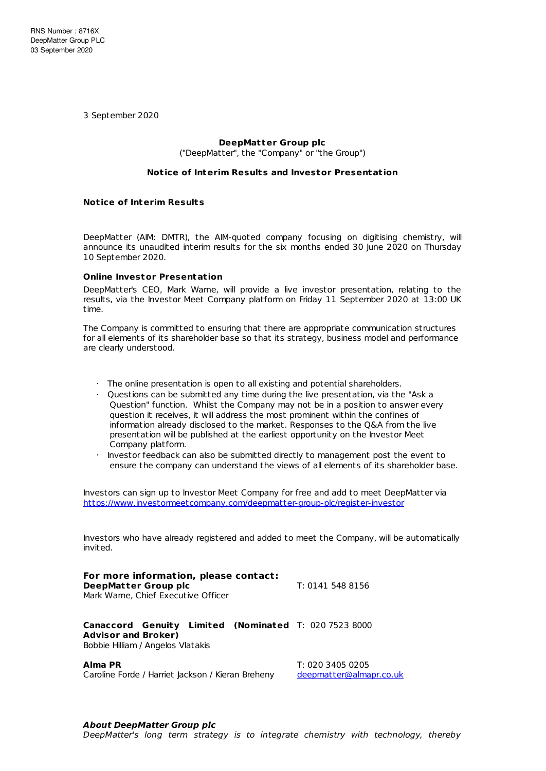3 September 2020

# **DeepMatter Group plc**

("DeepMatter", the "Company" or "the Group")

## **Not ice of Interim Results and Investor Presentat ion**

### **Not ice of Interim Results**

DeepMatter (AIM: DMTR), the AIM-quoted company focusing on digitising chemistry, will announce its unaudited interim results for the six months ended 30 June 2020 on Thursday 10 September 2020.

#### **Online Investor Presentat ion**

DeepMatter's CEO, Mark Warne, will provide a live investor presentation, relating to the results, via the Investor Meet Company platform on Friday 11 September 2020 at 13:00 UK time.

The Company is committed to ensuring that there are appropriate communication structures for all elements of its shareholder base so that its strategy, business model and performance are clearly understood.

- · The online presentation is open to all existing and potential shareholders.
- · Questions can be submitted any time during the live presentation, via the "Ask a Question" function. Whilst the Company may not be in a position to answer every question it receives, it will address the most prominent within the confines of information already disclosed to the market. Responses to the Q&A from the live presentation will be published at the earliest opportunity on the Investor Meet Company platform.
- · Investor feedback can also be submitted directly to management post the event to ensure the company can understand the views of all elements of its shareholder base.

Investors can sign up to Investor Meet Company for free and add to meet DeepMatter via <https://www.investormeetcompany.com/deepmatter-group-plc/register-investor>

Investors who have already registered and added to meet the Company, will be automatically invited.

**For more information, please contact: DeepMatter Group plc** T: 0141 548 8156 Mark Warne, Chief Executive Officer

**Canaccord Genuity Limited (Nominated** T: 020 7523 8000 **Advisor and Broker)** Bobbie Hilliam / Angelos Vlatakis

Caroline Forde / Harriet Jackson / Kieran Breheny [deepmatter@almapr.co.uk](mailto:deepmatter@almapr.co.uk)

**Alma PR** T: 020 3405 0205

#### **About DeepMatter Group plc**

DeepMatter's long term strategy is to integrate chemistry with technology, thereby